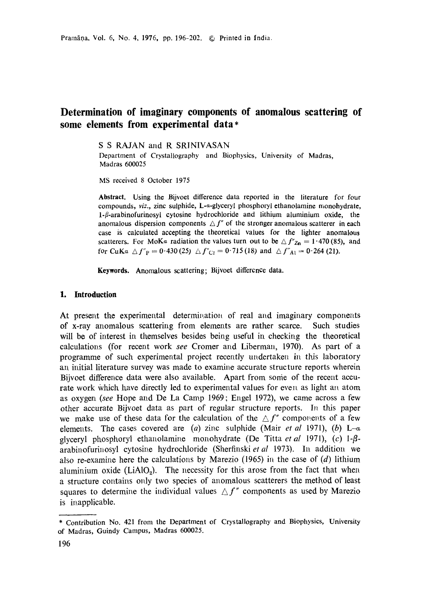# **Determination of imaginary components of anomalous scattering of some elements from experimental data\***

S S RAJAN and R SRINIVASAN

Department of Crystallography and Biophysics, University of Madras, Madras 600025

MS received 8 October 1975

**Abstract. Using the** Bijvoet difference data reported in the literature for four compounds, *viz.,* zinc sulphide, L-a-glyceryl phosphoryl ethanolamine monohydrate, 1- $\beta$ -arabinofurinosyl cytosine hydrochloride and lithium aluminium oxide, the anomalous dispersion components  $\Delta f''$  of the stronger anomalous scatterer in each case is calculated accepting the theoretical values for the lighter anomalous scatterers. For MoKa radiation the values turn out to be  $\Delta f''_{\text{Zn}} = 1.470 (85)$ , and for CuKa  $\Delta f''_P = 0.430(25)$   $\Delta f''_{Cl} = 0.715(18)$  and  $\Delta f''_{Al} = 0.264(21)$ .

**Keywords.** Anomalous scattering; Bijvoet difference **data.** 

## **1. Introduction**

At present the experimental determination of real and imaginary components of x-ray anomalous scattering from elements are rather scarce. Such studies will be of interest in themselves besides being useful in checking the theoretical calculations (for recent work *see* Cromer and Liberman, 1970). As part of a programme of such experimental project recently undertaken in this laboratory an initial literature survey was made to examine accurate structure reports wherein Bijvoet difference data were also available. Apart from some of the recent accurate work which have directly led to experimental values for even as light an atom as oxygen *(see* Hope and De La Camp 1969; Engel 1972), we came across a few other accurate Bijvoet data as part of regular structure reports. In this paper we make use of these data for the calculation of the  $\Delta f''$  components of a few elements. The cases covered are (a) zinc sulphide (Mair *et al* 1971), (b) L- $\alpha$ glyceryl phosphoryl ethanolamine monohydrate (De Titta *et al 1971)*, (c)  $1-\beta$ arabinofurinosyl cytosine hydrochloride (Sherfinski et al 1973). In addition we also re-examine here the calculations by Marezio (1965) in the case of  $(d)$  lithium aluminium oxide (LiAlO<sub>2</sub>). The necessity for this arose from the fact that when a structure contains only two species of anomalous scatterers the method of least squares to determine the individual values  $\Delta f''$  components as used by Marezio is inapplicable.

<sup>\*</sup> Contribution No. 421 from the Department of Crystallography and Biophysics, University of Madras, Guindy Campus, Madras 600025.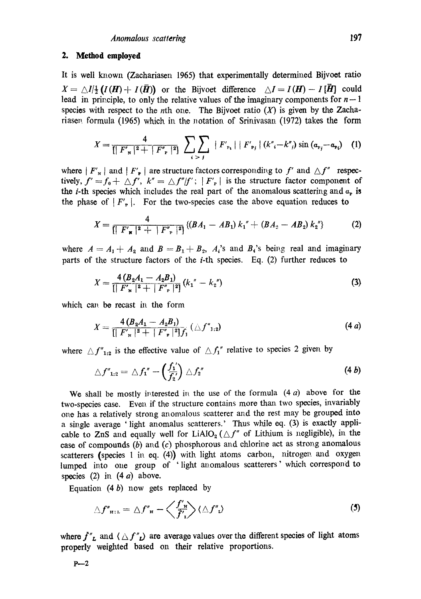## **2. Method employed**

It is well known (Zachariasen 1965) that experimentally determined Bijvoet ratio  $X = \bigtriangleup I/_{2}^{1}(I(H) + I(\bar{H}))$  or the Bijvoet difference  $\bigtriangleup I = I(H) - I[\bar{H}]$  could lead in principle, to only the relative values of the imaginary components for  $n-1$ species with respect to the *n*th one. The Bijvoet ratio  $(X)$  is given by the Zachariasen formula (1965) which in the notation of Srinivasan (1972) takes the form

$$
X = \frac{4}{\prod F'_{\mathbf{r}}|^2 + |F''_{\mathbf{r}}|^2} \sum_{i > j} |F'_{\mathbf{r}_i}| |F'_{\mathbf{r}_j}| (k''_i - k'') \sin (a_{\mathbf{r}_j} - a_{\mathbf{r}_i}) \quad (1)
$$

where  $|F'_{\gamma}|$  and  $|F'_{\gamma}|$  are structure factors corresponding to f' and  $\Delta f''$  respectively,  $f' = f_0 + \Delta f'$ ,  $k'' = \Delta f''/f'$ ;  $|F'_{\rm F}|$  is the structure factor component of the *i*-th species which includes the real part of the anomalous scattering and  $a<sub>p</sub>$  is the phase of  $|F'_n|$ . For the two-species case the above equation reduces to

$$
X = \frac{4}{\left[\left|F'_{\mathbf{R}}\right|^2 + |F''_{\mathbf{P}}|^2\right]} \left\{ \left(BA_1 - AB_1\right)k_1'' + \left(BA_2 - AB_2\right)k_2'' \right\} \tag{2}
$$

where  $A=A_1+A_2$  and  $B=B_1+B_2$ ,  $A_i$ 's and  $B_i$ 's being real and imaginary parts of the structure factors of the  $i$ -th species. Eq. (2) further reduces to

$$
X = \frac{4 (B_2 A_1 - A_2 B_1)}{[\vert F'_{\mathbf{w}} \vert^2 + \vert F''_{\mathbf{r}} \vert^2]} (k_1'' - k_2'')
$$
 (3)

which can be recast in the form

$$
X = \frac{4 (B_2 A_1 - A_2 B_1)}{[\|F'\|]^2 + \|F''\|^{2}][f_1]} (\triangle f''_{1:2})
$$
\n(4 a)

where  $\Delta f''_{1:2}$  is the effective value of  $\Delta f''_1$  relative to species 2 given by

$$
\triangle f''_{1:2} = \triangle f_1'' - \left(\frac{f_1'}{f_2'}\right) \triangle f_2''
$$
\n(4 b)

We shall be mostly interested in the use of the formula  $(4 a)$  above for the two-species case. Even if the structure contains more than two species, invariably one has a relatively strong anomalous scatterer and the rest may be grouped into a single average 'light anomalus scatterers.' Thus while eq. (3) is exactly applicable to ZnS and equally well for LiAlO<sub>2</sub> ( $\triangle f''$  of Lithium is negligible), in the case of compounds (b) and (c) phosphorous and chlorine act as strong anomalous scatterers (species 1 in eq. (4)) with light atoms carbon, nitrogen and oxygen lumped into one group of 'light anomalous scatterers' which correspond to species (2) in  $(4 \, a)$  above.

Equation  $(4 b)$  now gets replaced by

$$
\triangle f''_{\mathbf{H}:\mathbf{L}} = \triangle f''_{\mathbf{H}} - \left\langle \frac{f'_{\mathbf{H}}}{\overline{f}'_{\mathbf{L}}} \right\rangle \langle \triangle f''_{\mathbf{L}} \rangle \tag{5}
$$

where  $f''_L$  and  $\langle \Delta f''_L \rangle$  are average values over the different species of light atoms properly weighted based on their relative proportions.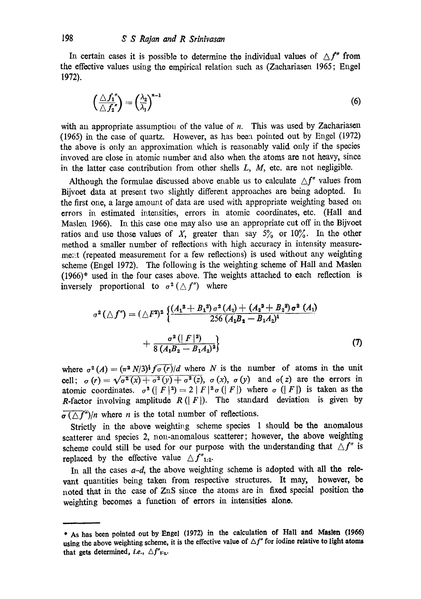In certain cases it is possible to determine the individual values of  $\Delta f''$  from the effective values using the empirical relation such as (Zachariasen 1965; Engel 1972).

$$
\left(\frac{\triangle f_1''}{\triangle f_2''}\right) = \left(\frac{\lambda_2}{\lambda_1}\right)^{n-1} \tag{6}
$$

with an appropriate assumption of the value of  $n$ . This was used by Zachariasen (1965) in the ease of quartz. However, as has been pointed out by Engel (1972) the above is only an approximation which is reasonably valid only if the species invoved are close in atomic number and also when the atoms are not heavy, since in the latter case contribution from other shells  $L$ ,  $M$ , etc. are not negligible.

Although the formulae discussed above enable us to calculate  $\Delta f''$  values from Bijvoet data at present two slightly different approaches are being adopted. In the first one, a large amount of data are used with appropriate weighting based on errors in estimated intensities, errors in atomic coordinates, etc. (Hall and Maslen 1966). In this case one may also use an appropriate cut off in the Bijvoet ratios and use those values of X, greater than say  $5\%$  or  $10\%$ . In the other method a smaller number of reflections with high accuracy in intensity measurement (repeated measurement for a few reflections) is used without any weighting scheme (Engel 1972). The following is the weighting scheme of Hall and Maslen (1966)\* used in the four cases above. The weights attached to each reflection is inversely proportional to  $\sigma^2(\triangle f'')$  where

$$
\sigma^{2}(\triangle f^{\prime}) = (\triangle F^{2})^{2} \left\{ \frac{(A_{1}^{2} + B_{1}^{2}) \sigma^{2} (A_{2}) + (A_{2}^{2} + B_{2}^{2}) \sigma^{2} (A_{1})}{256 (A_{1}B_{2} - B_{1}A_{2})^{4}} + \frac{\sigma^{2} (|F|^{2})}{8 (A_{1}B_{2} - B_{1}A_{2})^{2}} \right\}
$$
(7)

where  $\sigma^2(A) = (\pi^2 N/3)^{\frac{1}{2}} f \overline{\sigma(r)}/d$  where N is the number of atoms in the unit cell;  $\sigma(r) = \sqrt{\sigma^2(x) + \sigma^2(y) + \sigma^2(z)}, \sigma(x), \sigma(y)$  and  $\sigma(z)$  are the errors in atomic coordinates.  $\sigma^2$  ( $|F|^2$ ) = 2 |  $F|^2 \sigma$  ( $|F|$ ) where  $\sigma$  ( $|F|$ ) is taken as the **R-factor** involving amplitude  $R(|F|)$ . The standard deviation is given by  $\overline{\sigma(\triangle f')}/n$  where *n* is the total number of reflections.

Strictly in the above weighting scheme species 1 should be the anomalous scatterer and species 2, non-anomalous scatterer; however, the above weighting scheme could still be used for our purpose with the understanding that  $\Delta f''$  is replaced by the effective value  $\Delta f''_{1,2}$ .

In all the cases  $a-d$ , the above weighting scheme is adopted with all the relevant quantities being taken from respective structures. It may, however, be noted that in the case of ZaS since the atoms are in fixed special position the weighting becomes a function of errors in intensities alone.

**<sup>\*</sup> As has been pointed out by Engel (1972) in the calculation of Hall and Maslen (1965)**  using the above weighting scheme, it is the effective value of  $\Delta f''$  for iodine relative to light atoms that gets determined, *i.e.*,  $\Delta f''_{x \cdot y}$ .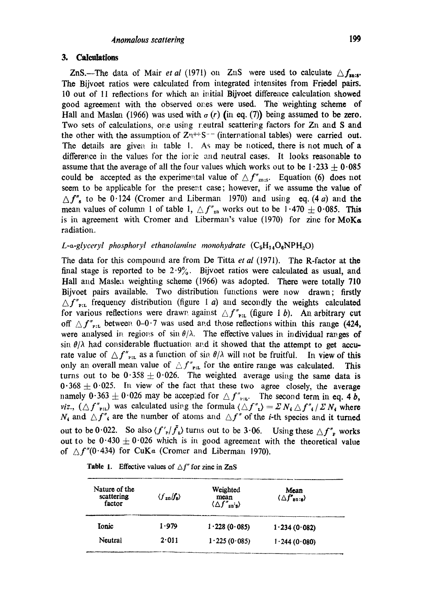## **3.** Calculations

ZnS.—The data of Mair *et al* (1971) on ZnS were used to calculate  $\Delta f_{\text{max}}$ . The Bijvoet ratios were calculated from integrated intensites from Friedel pairs. 10 out of 11 reflections for which an initial Bijvoet difference calculation showed good agreement with the observed ones were used. The weighting scheme of Hall and Maslen (1966) was used with  $\sigma(r)$  (in eq. (7)) being assumed to be zero. Two sets of calculations, one using reutral scattering factors for Zn and S and the other with the assumption of  $Z^{n++}S^{--}$  (international tables) were carried out. The details are given in table 1. As may be noticed, there is not much of a difference in the values for the ionic and neutral cases. It looks reasonable to assume that the average of all the four values which works out to be  $1.233 \pm 0.085$ could be accepted as the experimental value of  $\Delta f''_{\text{zns}}$ . Equation (6) does not seem to be applicable for the present case; however, if we assume the value of  $\Delta f''_s$  to be 0.124 (Cromer and Liberman 1970) and using eq. (4 a) and the mean values of column 1 of table 1,  $\Delta f''_{\text{an}}$  works out to be 1.470  $\pm$  0.085. This is in agreement with Cromer and Liberman's value (1970) for zinc for  $MoK_{\alpha}$ radiation.

L-a-glyceryl phosphoryl ethanolamine monohydrate  $(C_5H_{14}O_6NPH_2O)$ 

The data for this compound are from De Titta *et al* (1971). The R-factor at the final stage is reported to be  $2.9\%$ . Bijvoet ratios were calculated as usual, and Hall and Maslen weighting scheme (1966) was adopted. There were totally 710 Bijvoet pairs available. Two distribution functions were now drawn; firstly  $\Delta f''_{\text{P:L}}$  frequency distribution (figure 1 a) and secondly the weights calculated for various reflections were drawn against  $\Delta f''_{\text{P:L}}$  (figure 1 b). An arbitrary cut off  $\Delta f''_{\text{P:L}}$  between 0-0.7 was used and those reflections within this range (424, were analysed in regions of  $\sin \theta/\lambda$ . The effective values in individual ranges of  $\sin \theta/\lambda$  had considerable fluctuation and it showed that the attempt to get accurate value of  $\Delta f''_{\text{PIL}}$  as a function of sin  $\theta/\lambda$  will not be fruitful. In view of this only an overall mean value of  $\Delta f''_{\text{rel}}$  for the entire range was calculated. This turns out to be  $0.358 \pm 0.026$ . The weighted average using the same data is  $0.368 \pm 0.025$ . In view of the fact that these two agree closely, the average namely  $0.363 \pm 0.026$  may be accepted for  $\Delta f''_{\text{rel}}$ . The second term in eq. 4 b, *viz.,*  $(Af'_{\text{F:L}})$  was calculated using the formula  $\langle \Delta f''_{\text{L}} \rangle = \Sigma N_4 \Delta f''_{\text{A}} / \Sigma N_4$  where  $N_1$  and  $\Delta f''_2$  are the number of atoms and  $\Delta f''$  of the *i*-th species and it turned out to be 0.022. So also  $\langle f'_{r} | \bar{f}_{\nu} \rangle$  turns out to be 3.06. Using these  $\triangle f''_{r}$  works out to be  $0.430 \pm 0.026$  which is in good agreement with the theoretical value of  $\Delta f''(0.434)$  for CuKa (Cromer and Liberman 1970).

| Nature of the<br>scattering<br>factor | $\langle f_{\rm zn}/f_{\rm s}\rangle$ | Weighted<br>mean<br>$\langle \Delta f''_{\rm zn's} \rangle$ | Mean<br>$\langle \Delta f_{\text{on}:s} \rangle$ |
|---------------------------------------|---------------------------------------|-------------------------------------------------------------|--------------------------------------------------|
| Ionic                                 | 1.979                                 | 1.228(0.085)                                                | 1.234(0.082)                                     |
| Neutral                               | 2.011                                 | 1.225(0.085)                                                | 1.244(0.080)                                     |

**Table 1.** Effective values of  $\Delta f''$  for zinc in ZnS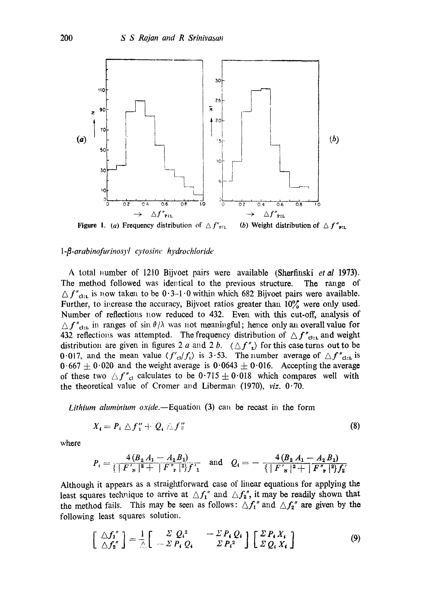

#### *1-[3-arabinofurinosyl cytosine hydrochloride*

A total number of 1210 Bijvoet pairs were available (Sherfinski *et al* 1973). The method followed was identical to the previous structure. The range of  $\Delta f''_{\text{cl.}r}$  is now taken to be 0.3-1.0 within which 682 Bijvoet pairs were available. Further, to increase the accuracy, Bijvoet ratios greater than  $10\%$  were only used. Number of reflections now reduced to 432. Even with this cut-off, analysis of  $\Delta f''_{\text{clu}}$  in ranges of sin  $\theta/\lambda$  was not meaningful; hence only an overall value for 432 reflections was attempted. The frequency distribution of  $\Delta f''_{\text{cl}:r}$  and weight distribution are given in figures 2 a and 2 b.  $\langle \Delta f''_n \rangle$  for this case turns out to be 0.017, and the mean value  $\langle f'_{cl}/f_{\nu} \rangle$  is 3.53. The number average of  $\Delta f''_{cl;\mathbf{L}}$  is  $0.667 \pm 0.020$  and the weight average is  $0.0643 \pm 0.016$ . Accepting the average of these two  ${\Delta f''}_{cl}$  calculates to be  $0.715 \pm 0.018$  which compares well with the theoretical value of Cromer and Liberman  $(1970)$ , *viz.*  $0.70$ .

*Lithium aluminium oxide.*—Equation  $(3)$  can be recast in the form

$$
X_i = P_i \bigtriangleup f_1'' + Q_i \bigtriangleup f_2'' \tag{8}
$$

where

$$
P_i = \frac{4 (B_2 A_1 - A_2 B_1)}{\{ |F'|_s|^2 + |F'|_s|^2 \}} \quad \text{and} \quad Q_i = -\frac{4 (B_2 A_1 - A_2 B_1)}{\{ |F'|_s|^2 + |F'|_s|^2 \}}_{i}
$$

Although it appears as a straightforward case of linear equations for applying the least squares technique to arrive at  $\Delta f_1''$  and  $\Delta f_2''$ , it may be readily shown that the method fails. This may be seen as follows:  $\Delta f_1''$  and  $\Delta f_2''$  are given by the following least squares solution.

$$
\begin{bmatrix}\n\triangle f_1'' \\
\triangle f_2''\n\end{bmatrix} = \frac{1}{\triangle} \begin{bmatrix}\n\angle Q_1^2 & -\angle P_1 Q_1 \\
-\angle P_1 Q_1 & \angle P_2^2\n\end{bmatrix} \begin{bmatrix}\n\angle P_1 X_1 \\
\angle Q_2 X_1\n\end{bmatrix}
$$
\n(9)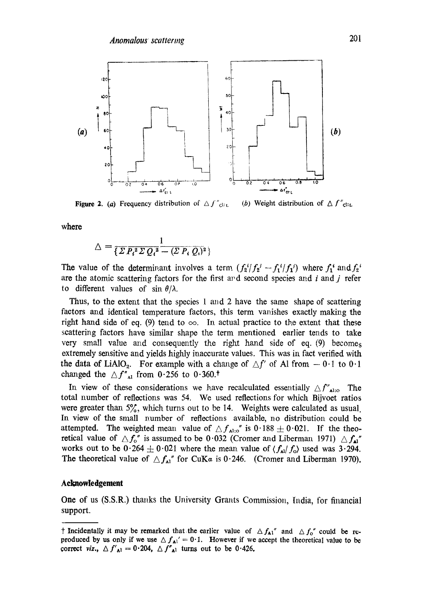

**Figure 2.** (a) Frequency distribution of  $\Delta f''_{\text{clip}}$ (b) Weight distribution of  $\Delta f''_{\text{clit}}$ 

where

$$
\triangle = \frac{1}{\{\Sigma P_i^2 \Sigma Q_i^2 - (\Sigma P_i Q_i)^2\}}
$$

The value of the determinant involves a term.  $(f_2^i/f_2^j - f_1^i/f_1^j)$  where  $f_1^i$  and  $f_2^i$ are the atomic scattering factors for the first and second species and  $i$  and  $j$  refer to different values of sin  $\theta/\lambda$ .

Thus, to the extent that the species 1 and 2 have the same shape of scattering factors and identical temperature factors, this term vanishes exactly making the right hand side of eq. (9) tend to  $\infty$ . In actual practice to the extent that these scattering factors have similar shape the term mentioned earlier tends to take very small value and consequently the right hand side of eq.  $(9)$  becomes extremely sensitive and yields highly inaccurate values. This was in fact verified with the data of LiAlO<sub>2</sub>. For example with a change of  $\Delta f'$  of Al from  $-0.1$  to  $0.1$ changed the  $\triangle f''_{\text{Al}}$  from 0.256 to 0.360.<sup>†</sup>

In view of these considerations we have recalculated essentially  $\Delta f''_{\text{alto}}$ . The total number of reflections was 54. We used reflections for which Bijvoet ratios were greater than  $5\%$ , which turns out to be 14. Weights were calculated as usual. In view of the small number of reflections available, no distribution could be attempted. The weighted mean value of  $\Delta f_{\text{Al:o}}$ " is 0.188  $\pm$  0.021. If the theoretical value of  $\Delta f_o$ " is assumed to be 0.032 (Cromer and Liberman 1971)  $\Delta f_{\rm al}$ " works out to be  $0.264 \pm 0.021$  where the mean value of  $\langle f_{\rm Al} f_{\rm O} \rangle$  used was 3.294. The theoretical value of  $\Delta f_{\text{Al}}$ " for CuKa is 0.246. (Cromer and Liberman 1970).

#### **Admowledgement**

One of us (S.S.R.) thanks the University Grants Commission, India, for financial support.

<sup>†</sup> Incidentally it may be remarked that the earlier value of  $\Delta f_{A1}$ " and  $\Delta f_0$ " could be reproduced by us only if we use  $\Delta f_{\text{Al}}' = 0.1$ . However if we accept the theoretical value to be correct *viz.*,  $\Delta f'_{\text{Al}} = 0.204$ ,  $\Delta f''_{\text{Al}}$  turns out to be 0.426.